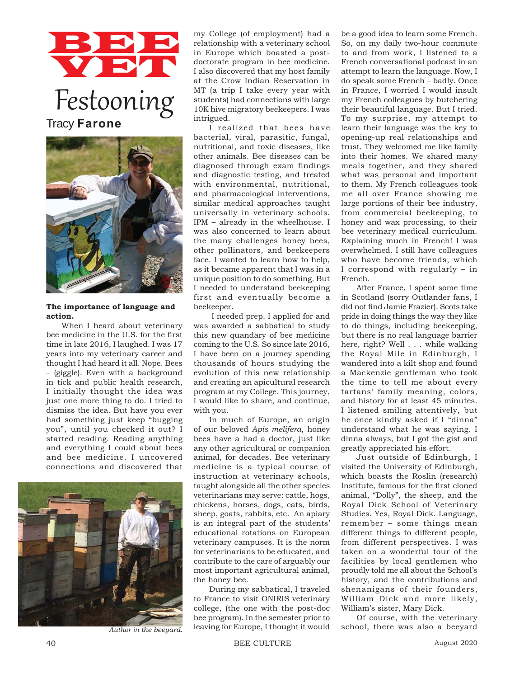## BBB **VET**

Festooning Tracy **Farone**



## **The importance of language and action.**

When I heard about veterinary bee medicine in the U.S. for the first time in late 2016, I laughed. I was 17 years into my veterinary career and thought I had heard it all. Nope. Bees – (giggle). Even with a background in tick and public health research, I initially thought the idea was just one more thing to do. I tried to dismiss the idea. But have you ever had something just keep "bugging you", until you checked it out? I started reading. Reading anything and everything I could about bees and bee medicine. I uncovered connections and discovered that



my College (of employment) had a relationship with a veterinary school in Europe which boasted a postdoctorate program in bee medicine. I also discovered that my host family at the Crow Indian Reservation in MT (a trip I take every year with students) had connections with large 10K hive migratory beekeepers. I was intrigued.

I realized that bees have bacterial, viral, parasitic, fungal, nutritional, and toxic diseases, like other animals. Bee diseases can be diagnosed through exam findings and diagnostic testing, and treated with environmental, nutritional, and pharmacological interventions, similar medical approaches taught universally in veterinary schools. IPM – already in the wheelhouse. I was also concerned to learn about the many challenges honey bees, other pollinators, and beekeepers face. I wanted to learn how to help, as it became apparent that I was in a unique position to do something. But I needed to understand beekeeping first and eventually become a beekeeper.

 I needed prep. I applied for and was awarded a sabbatical to study this new quandary of bee medicine coming to the U.S. So since late 2016, I have been on a journey spending thousands of hours studying the evolution of this new relationship and creating an apicultural research program at my College. This journey, I would like to share, and continue, with you.

In much of Europe, an origin of our beloved *Apis melifera*, honey bees have a had a doctor, just like any other agricultural or companion animal, for decades. Bee veterinary medicine is a typical course of instruction at veterinary schools, taught alongside all the other species veterinarians may serve: cattle, hogs, chickens, horses, dogs, cats, birds, sheep, goats, rabbits, etc. An apiary is an integral part of the students' educational rotations on European veterinary campuses. It is the norm for veterinarians to be educated, and contribute to the care of arguably our most important agricultural animal, the honey bee.

During my sabbatical, I traveled to France to visit ONIRIS veterinary college, (the one with the post-doc bee program). In the semester prior to leaving for Europe, I thought it would

be a good idea to learn some French. So, on my daily two-hour commute to and from work, I listened to a French conversational podcast in an attempt to learn the language. Now, I do speak some French – badly. Once in France, I worried I would insult my French colleagues by butchering their beautiful language. But I tried. To my surprise, my attempt to learn their language was the key to opening-up real relationships and trust. They welcomed me like family into their homes. We shared many meals together, and they shared what was personal and important to them. My French colleagues took me all over France showing me large portions of their bee industry, from commercial beekeeping, to honey and wax processing, to their bee veterinary medical curriculum. Explaining much in French! I was overwhelmed. I still have colleagues who have become friends, which I correspond with regularly – in French.

After France, I spent some time in Scotland (sorry Outlander fans, I did not find Jamie Frazier). Scots take pride in doing things the way they like to do things, including beekeeping, but there is no real language barrier here, right? Well . . . while walking the Royal Mile in Edinburgh, I wandered into a kilt shop and found a Mackenzie gentleman who took the time to tell me about every tartans' family meaning, colors, and history for at least 45 minutes. I listened smiling attentively, but he once kindly asked if I "dinna" understand what he was saying. I dinna always, but I got the gist and greatly appreciated his effort.

Just outside of Edinburgh, I visited the University of Edinburgh, which boasts the Roslin (research) Institute, famous for the first cloned animal, "Dolly", the sheep, and the Royal Dick School of Veterinary Studies. Yes, Royal Dick. Language, remember – some things mean different things to different people, from different perspectives. I was taken on a wonderful tour of the facilities by local gentlemen who proudly told me all about the School's history, and the contributions and shenanigans of their founders, William Dick and more likely, William's sister, Mary Dick.

Of course, with the veterinary Author in the beeyard. leaving for Europe, I thought it would school, there was also a beeyard